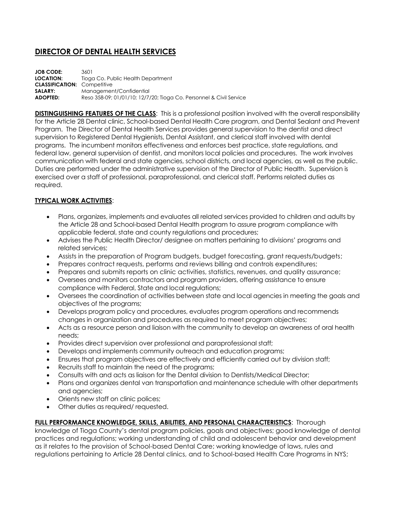# **DIRECTOR OF DENTAL HEALTH SERVICES**

| <b>JOB CODE:</b>                   | 3601                                                                |
|------------------------------------|---------------------------------------------------------------------|
| LOCATION:                          | Tioga Co. Public Health Department                                  |
| <b>CLASSIFICATION: Competitive</b> |                                                                     |
| SALARY:                            | Management/Confidential                                             |
| <b>ADOPTED:</b>                    | Reso 358-09; 01/01/10; 12/7/20; Tioga Co. Personnel & Civil Service |

**DISTINGUISHING FEATURES OF THE CLASS:** This is a professional position involved with the overall responsibility for the Article 28 Dental clinic, School-based Dental Health Care program, and Dental Sealant and Prevent Program. The Director of Dental Health Services provides general supervision to the dentist and direct supervision to Registered Dental Hygienists, Dental Assistant, and clerical staff involved with dental programs. The incumbent monitors effectiveness and enforces best practice, state regulations, and federal law, general supervision of dentist, and monitors local policies and procedures. The work involves communication with federal and state agencies, school districts, and local agencies, as well as the public. Duties are performed under the administrative supervision of the Director of Public Health. Supervision is exercised over a staff of professional, paraprofessional, and clerical staff. Performs related duties as required.

### **TYPICAL WORK ACTIVITIES**:

- Plans, organizes, implements and evaluates all related services provided to children and adults by the Article 28 and School-based Dental Health program to assure program compliance with applicable federal, state and county regulations and procedures;
- Advises the Public Health Director/ designee on matters pertaining to divisions' programs and related services;
- Assists in the preparation of Program budgets, budget forecasting, grant requests/budgets;
- Prepares contract requests, performs and reviews billing and controls expenditures;
- Prepares and submits reports on clinic activities, statistics, revenues, and quality assurance;
- Oversees and monitors contractors and program providers, offering assistance to ensure compliance with Federal, State and local regulations;
- Oversees the coordination of activities between state and local agencies in meeting the goals and objectives of the programs;
- Develops program policy and procedures, evaluates program operations and recommends changes in organization and procedures as required to meet program objectives;
- Acts as a resource person and liaison with the community to develop an awareness of oral health needs;
- Provides direct supervision over professional and paraprofessional staff;
- Develops and implements community outreach and education programs;
- Ensures that program objectives are effectively and efficiently carried out by division staff;
- Recruits staff to maintain the need of the programs;
- Consults with and acts as liaison for the Dental division to Dentists/Medical Director;
- Plans and organizes dental van transportation and maintenance schedule with other departments and agencies;
- Orients new staff on clinic polices;
- Other duties as required/ requested.

#### **FULL PERFORMANCE KNOWLEDGE, SKILLS, ABILITIES, AND PERSONAL CHARACTERISTICS**: Thorough

knowledge of Tioga County's dental program policies, goals and objectives; good knowledge of dental practices and regulations; working understanding of child and adolescent behavior and development as it relates to the provision of School-based Dental Care; working knowledge of laws, rules and regulations pertaining to Article 28 Dental clinics, and to School-based Health Care Programs in NYS;